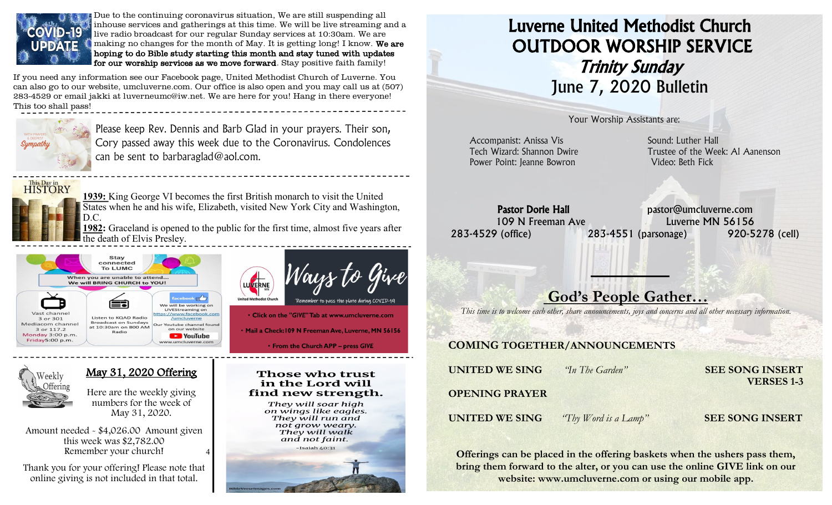

Due to the continuing coronavirus situation, We are still suspending all inhouse services and gatherings at this time. We will be live streaming and a live radio broadcast for our regular Sunday services at 10:30am. We are making no changes for the month of May. It is getting long! I know. We are hoping to do Bible study starting this month and stay tuned with updates for our worship services as we move forward. Stay positive faith family!

If you need any information see our Facebook page, United Methodist Church of Luverne. You can also go to our website, umcluverne.com. Our office is also open and you may call us at (507) 283-4529 or email jakki at luverneumc@iw.net. We are here for you! Hang in there everyone! This too shall pass!



Please keep Rev. Dennis and Barb Glad in your prayers. Their son, Cory passed away this week due to the Coronavirus. Condolences can be sent to barbaraglad@aol.com.



**1939:** King George VI becomes the first British monarch to visit the United States when he and his wife, Elizabeth, visited New York City and Washington, D.C.

**1982:** Graceland is opened to the public for the first time, almost five years after the death of Elvis Presley.





Click on the "GIVE" Tab at www.umcluverne.com



#### May 31, 2020 Offering

Here are the weekly giving numbers for the week of May 31, 2020.

4 Amount needed - \$4,026.00 Amount given this week was \$2,782.00 Remember your church!

 Thank you for your offering! Please note that online giving is not included in that total.



. Mail a Check: 109 N Freeman Ave, Luverne, MN 56156

• From the Church APP - press GIVE

#### Those who trust in the Lord will find new strength.

They will soar high on wings like eagles. They will run and not grow weary. They will walk and not faint.

# Isaiah 40:31

# Luverne United Methodist Church OUTDOOR WORSHIP SERVICE Trinity Sunday June 7, 2020 Bulletin

Your Worship Assistants are:

Accompanist: Anissa Vis **Sound: Luther Hall** Power Point: Jeanne Bowron Video: Beth Fick

Tech Wizard: Shannon Dwire Trustee of the Week: Al Aanenson

Pastor Dorie Hall pastor@umcluverne.com 109 N Freeman Ave Luverne MN 56156 283-4529 (office) 283-4551 (parsonage) 920-5278 (cell)

## God's People Gather…

*This time is to welcome each other, share announcements, joys and concerns and all other necessary information.*

#### COMING TOGETHER/ANNOUNCEMENTS

| <b>UNITED WE SING</b> | "In The Garden"      | <b>SEE SONG INSERT</b><br><b>VERSES 1-3</b> |
|-----------------------|----------------------|---------------------------------------------|
| <b>OPENING PRAYER</b> |                      |                                             |
| <b>UNITED WE SING</b> | "Thy Word is a Lamp" | <b>SEE SONG INSERT</b>                      |

Offerings can be placed in the offering baskets when the ushers pass them, bring them forward to the alter, or you can use the online GIVE link on our website: www.umcluverne.com or using our mobile app.